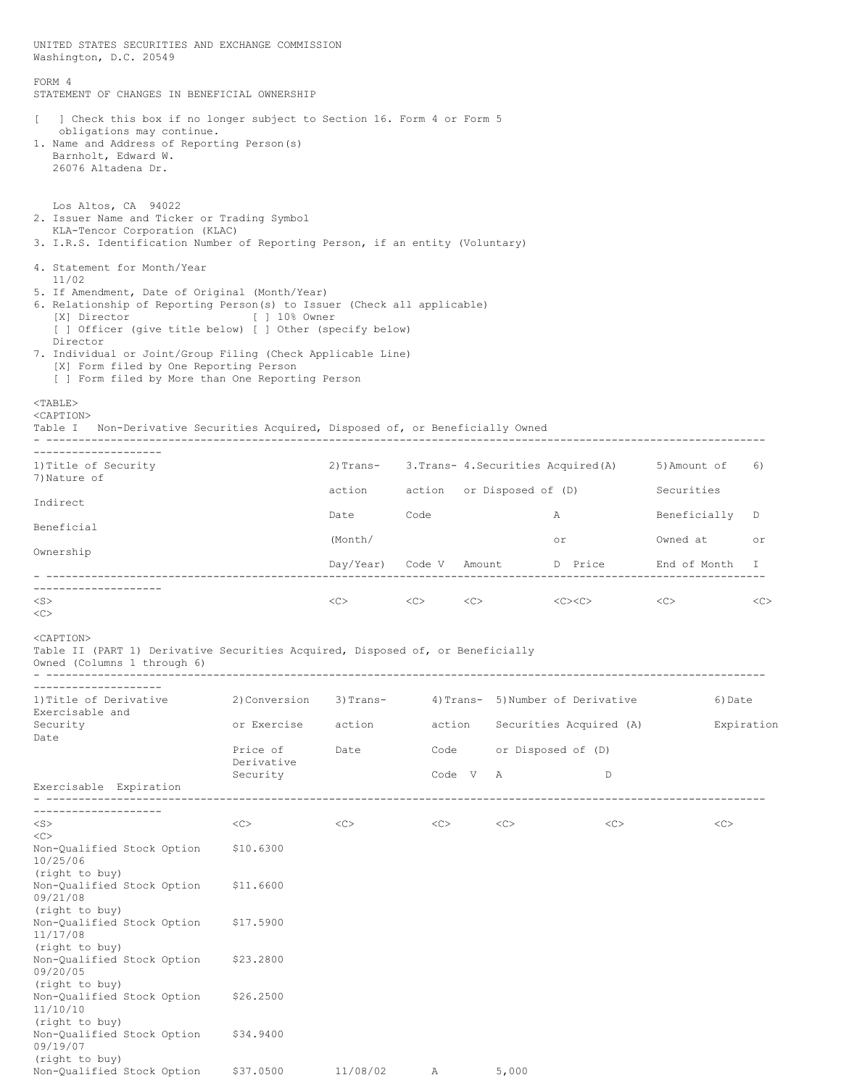| UNITED STATES SECURITIES AND EXCHANGE COMMISSION<br>Washington, D.C. 20549                                                                                                                                                                                                                                                                                                                                                           |                        |                                                             |                                  |                    |                         |                                                             |                          |            |
|--------------------------------------------------------------------------------------------------------------------------------------------------------------------------------------------------------------------------------------------------------------------------------------------------------------------------------------------------------------------------------------------------------------------------------------|------------------------|-------------------------------------------------------------|----------------------------------|--------------------|-------------------------|-------------------------------------------------------------|--------------------------|------------|
| FORM 4<br>STATEMENT OF CHANGES IN BENEFICIAL OWNERSHIP                                                                                                                                                                                                                                                                                                                                                                               |                        |                                                             |                                  |                    |                         |                                                             |                          |            |
| [ ] Check this box if no longer subject to Section 16. Form 4 or Form 5<br>obligations may continue.<br>1. Name and Address of Reporting Person(s)<br>Barnholt, Edward W.<br>26076 Altadena Dr.                                                                                                                                                                                                                                      |                        |                                                             |                                  |                    |                         |                                                             |                          |            |
| Los Altos, CA 94022<br>2. Issuer Name and Ticker or Trading Symbol<br>KLA-Tencor Corporation (KLAC)<br>3. I.R.S. Identification Number of Reporting Person, if an entity (Voluntary)                                                                                                                                                                                                                                                 |                        |                                                             |                                  |                    |                         |                                                             |                          |            |
| 4. Statement for Month/Year<br>11/02<br>5. If Amendment, Date of Original (Month/Year)<br>6. Relationship of Reporting Person(s) to Issuer (Check all applicable)<br>[X] Director [ ] 10% Owner<br>[ ] Officer (give title below) [ ] Other (specify below)<br>Director<br>7. Individual or Joint/Group Filing (Check Applicable Line)<br>[X] Form filed by One Reporting Person<br>[ ] Form filed by More than One Reporting Person |                        |                                                             |                                  |                    |                         |                                                             |                          |            |
| $<$ TABLE><br><caption></caption>                                                                                                                                                                                                                                                                                                                                                                                                    |                        |                                                             |                                  |                    |                         |                                                             |                          |            |
| Table I Non-Derivative Securities Acquired, Disposed of, or Beneficially Owned                                                                                                                                                                                                                                                                                                                                                       |                        |                                                             |                                  |                    |                         |                                                             |                          |            |
| --------------------<br>1) Title of Security                                                                                                                                                                                                                                                                                                                                                                                         |                        | 2) Trans- 3. Trans- 4. Securities Acquired (A) 5) Amount of |                                  |                    |                         |                                                             | 6)                       |            |
| 7) Nature of                                                                                                                                                                                                                                                                                                                                                                                                                         |                        |                                                             | action action or Disposed of (D) |                    |                         |                                                             | Securities               |            |
| Indirect<br>Beneficial<br>Ownership                                                                                                                                                                                                                                                                                                                                                                                                  |                        | Date                                                        | Code                             |                    | A<br>or                 |                                                             | Beneficially<br>Owned at | D          |
|                                                                                                                                                                                                                                                                                                                                                                                                                                      |                        | (Month/                                                     |                                  |                    |                         |                                                             |                          | or         |
|                                                                                                                                                                                                                                                                                                                                                                                                                                      |                        | Day/Year) Code V Amount D Price End of Month                |                                  |                    |                         |                                                             | I.                       |            |
|                                                                                                                                                                                                                                                                                                                                                                                                                                      |                        |                                                             |                                  |                    |                         |                                                             |                          |            |
| $<$ S $>$<br><<                                                                                                                                                                                                                                                                                                                                                                                                                      |                        | $\langle$ C>                                                |                                  |                    |                         | $\langle C \rangle$ $\langle C \rangle$ $\langle C \rangle$ | $<<$ $<$ $>$             | <<         |
| <caption><br/>Table II (PART 1) Derivative Securities Acquired, Disposed of, or Beneficially<br/>Owned (Columns 1 through 6)</caption>                                                                                                                                                                                                                                                                                               |                        |                                                             |                                  |                    |                         |                                                             |                          |            |
| 1) Title of Derivative<br>Exercisable and                                                                                                                                                                                                                                                                                                                                                                                            | 2) Conversion          | 3) Trans-                                                   |                                  |                    |                         | 4) Trans- 5) Number of Derivative                           | 6) Date                  |            |
| Security                                                                                                                                                                                                                                                                                                                                                                                                                             | or Exercise            | action                                                      |                                  | action             | Securities Acquired (A) |                                                             |                          | Expiration |
| Date                                                                                                                                                                                                                                                                                                                                                                                                                                 | Price of<br>Derivative | Date<br>Code                                                |                                  | or Disposed of (D) |                         |                                                             |                          |            |
| Exercisable Expiration                                                                                                                                                                                                                                                                                                                                                                                                               | Security               |                                                             |                                  | Code V A           |                         | D                                                           |                          |            |
|                                                                                                                                                                                                                                                                                                                                                                                                                                      |                        |                                                             |                                  |                    |                         |                                                             |                          |            |
| $<$ S $>$                                                                                                                                                                                                                                                                                                                                                                                                                            | <<>                    | $<<$ $<$ $>$                                                | <<>                              |                    | <<                      | <<                                                          | <<                       |            |
| <<<br>Non-Qualified Stock Option<br>10/25/06                                                                                                                                                                                                                                                                                                                                                                                         | \$10.6300              |                                                             |                                  |                    |                         |                                                             |                          |            |
| (right to buy)<br>Non-Qualified Stock Option<br>09/21/08                                                                                                                                                                                                                                                                                                                                                                             | \$11.6600              |                                                             |                                  |                    |                         |                                                             |                          |            |
| (right to buy)<br>Non-Qualified Stock Option<br>11/17/08<br>(right to buy)                                                                                                                                                                                                                                                                                                                                                           | \$17.5900              |                                                             |                                  |                    |                         |                                                             |                          |            |
| Non-Qualified Stock Option<br>09/20/05<br>(right to buy)                                                                                                                                                                                                                                                                                                                                                                             | \$23.2800              |                                                             |                                  |                    |                         |                                                             |                          |            |
| Non-Qualified Stock Option<br>11/10/10<br>(right to buy)                                                                                                                                                                                                                                                                                                                                                                             | \$26.2500              |                                                             |                                  |                    |                         |                                                             |                          |            |
| Non-Qualified Stock Option<br>09/19/07<br>(right to buy)                                                                                                                                                                                                                                                                                                                                                                             | \$34.9400              |                                                             |                                  |                    |                         |                                                             |                          |            |

Non-Qualified Stock Option \$37.0500 11/08/02 A 5,000